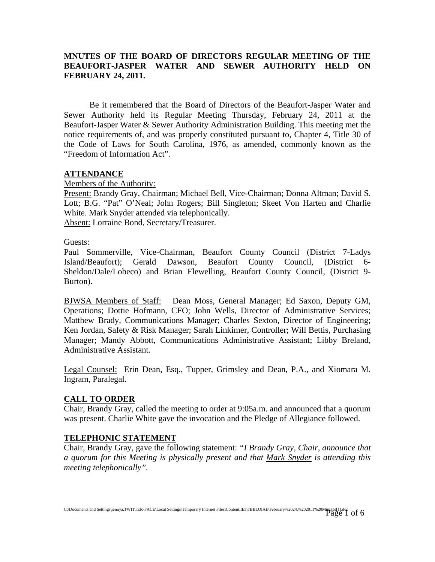### **MNUTES OF THE BOARD OF DIRECTORS REGULAR MEETING OF THE BEAUFORT-JASPER WATER AND SEWER AUTHORITY HELD ON FEBRUARY 24, 2011.**

Be it remembered that the Board of Directors of the Beaufort-Jasper Water and Sewer Authority held its Regular Meeting Thursday, February 24, 2011 at the Beaufort-Jasper Water & Sewer Authority Administration Building. This meeting met the notice requirements of, and was properly constituted pursuant to, Chapter 4, Title 30 of the Code of Laws for South Carolina, 1976, as amended, commonly known as the "Freedom of Information Act".

### **ATTENDANCE**

Members of the Authority:

Present: Brandy Gray, Chairman; Michael Bell, Vice-Chairman; Donna Altman; David S. Lott; B.G. "Pat" O'Neal; John Rogers; Bill Singleton; Skeet Von Harten and Charlie White. Mark Snyder attended via telephonically.

Absent: Lorraine Bond, Secretary/Treasurer.

#### Guests:

Paul Sommerville, Vice-Chairman, Beaufort County Council (District 7-Ladys Island/Beaufort); Gerald Dawson, Beaufort County Council, (District 6- Sheldon/Dale/Lobeco) and Brian Flewelling, Beaufort County Council, (District 9- Burton).

BJWSA Members of Staff: Dean Moss, General Manager; Ed Saxon, Deputy GM, Operations; Dottie Hofmann, CFO; John Wells, Director of Administrative Services; Matthew Brady, Communications Manager; Charles Sexton, Director of Engineering; Ken Jordan, Safety & Risk Manager; Sarah Linkimer, Controller; Will Bettis, Purchasing Manager; Mandy Abbott, Communications Administrative Assistant; Libby Breland, Administrative Assistant.

Legal Counsel: Erin Dean, Esq., Tupper, Grimsley and Dean, P.A., and Xiomara M. Ingram, Paralegal.

### **CALL TO ORDER**

Chair, Brandy Gray, called the meeting to order at 9:05a.m. and announced that a quorum was present. Charlie White gave the invocation and the Pledge of Allegiance followed.

### **TELEPHONIC STATEMENT**

Chair, Brandy Gray, gave the following statement: *"I Brandy Gray, Chair, announce that a quorum for this Meeting is physically present and that Mark Snyder is attending this meeting telephonically".*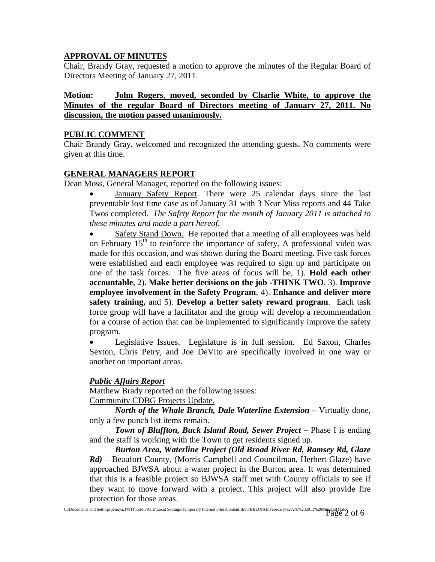## **APPROVAL OF MINUTES**

Chair, Brandy Gray, requested a motion to approve the minutes of the Regular Board of Directors Meeting of January 27, 2011.

### **Motion: John Rogers**, **moved, seconded by Charlie White, to approve the Minutes of the regular Board of Directors meeting of January 27, 2011. No discussion, the motion passed unanimously.**

### **PUBLIC COMMENT**

Chair Brandy Gray, welcomed and recognized the attending guests. No comments were given at this time.

## **GENERAL MANAGERS REPORT**

Dean Moss, General Manager, reported on the following issues:

January Safety Report. There were 25 calendar days since the last preventable lost time case as of January 31 with 3 Near Miss reports and 44 Take Twos completed. *The Safety Report for the month of January 2011 is attached to these minutes and made a part hereof.* 

Safety Stand Down. He reported that a meeting of all employees was held on February  $15<sup>th</sup>$  to reinforce the importance of safety. A professional video was made for this occasion, and was shown during the Board meeting. Five task forces were established and each employee was required to sign up and participate on one of the task forces. The five areas of focus will be, 1). **Hold each other accountable**, 2). **Make better decisions on the job -THINK TWO**, 3). **Improve employee involvement in the Safety Program**, 4). **Enhance and deliver more safety training,** and 5). **Develop a better safety reward program**. Each task force group will have a facilitator and the group will develop a recommendation for a course of action that can be implemented to significantly improve the safety program.

• Legislative Issues. Legislature is in full session. Ed Saxon, Charles Sexton, Chris Petry, and Joe DeVito are specifically involved in one way or another on important areas.

## *Public Affairs Report*

Matthew Brady reported on the following issues: Community CDBG Projects Update.

*North of the Whale Branch, Dale Waterline Extension – Virtually done,* only a few punch list items remain.

*Town of Bluffton, Buck Island Road, Sewer Project – Phase I is ending* and the staff is working with the Town to get residents signed up.

*Burton Area, Waterline Project (Old Broad River Rd, Ramsey Rd, Glaze Rd)* – Beaufort County, (Morris Campbell and Councilman, Herbert Glaze) have approached BJWSA about a water project in the Burton area. It was determined that this is a feasible project so BJWSA staff met with County officials to see if they want to move forward with a project. This project will also provide fire protection for those areas.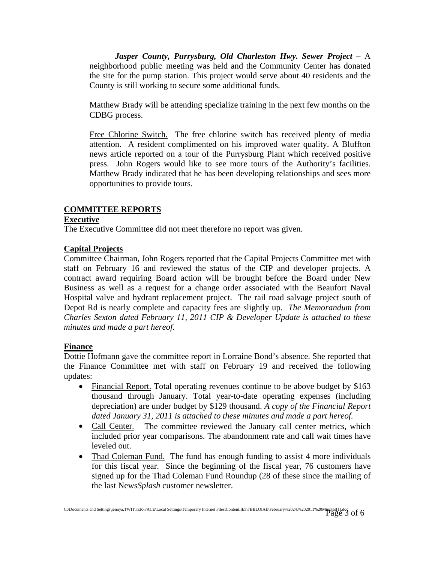*Jasper County, Purrysburg, Old Charleston Hwy. Sewer Project –* A neighborhood public meeting was held and the Community Center has donated the site for the pump station. This project would serve about 40 residents and the County is still working to secure some additional funds.

Matthew Brady will be attending specialize training in the next few months on the CDBG process.

 Free Chlorine Switch. The free chlorine switch has received plenty of media attention. A resident complimented on his improved water quality. A Bluffton news article reported on a tour of the Purrysburg Plant which received positive press. John Rogers would like to see more tours of the Authority's facilities. Matthew Brady indicated that he has been developing relationships and sees more opportunities to provide tours.

### **COMMITTEE REPORTS**

### **Executive**

The Executive Committee did not meet therefore no report was given.

### **Capital Projects**

Committee Chairman, John Rogers reported that the Capital Projects Committee met with staff on February 16 and reviewed the status of the CIP and developer projects. A contract award requiring Board action will be brought before the Board under New Business as well as a request for a change order associated with the Beaufort Naval Hospital valve and hydrant replacement project. The rail road salvage project south of Depot Rd is nearly complete and capacity fees are slightly up. *The Memorandum from Charles Sexton dated February 11, 2011 CIP & Developer Update is attached to these minutes and made a part hereof.*

### **Finance**

Dottie Hofmann gave the committee report in Lorraine Bond's absence. She reported that the Finance Committee met with staff on February 19 and received the following updates:

- Financial Report. Total operating revenues continue to be above budget by \$163 thousand through January. Total year-to-date operating expenses (including depreciation) are under budget by \$129 thousand. *A copy of the Financial Report dated January 31, 2011 is attached to these minutes and made a part hereof.*
- Call Center. The committee reviewed the January call center metrics, which included prior year comparisons. The abandonment rate and call wait times have leveled out.
- Thad Coleman Fund. The fund has enough funding to assist 4 more individuals for this fiscal year. Since the beginning of the fiscal year, 76 customers have signed up for the Thad Coleman Fund Roundup (28 of these since the mailing of the last News*Splash* customer newsletter.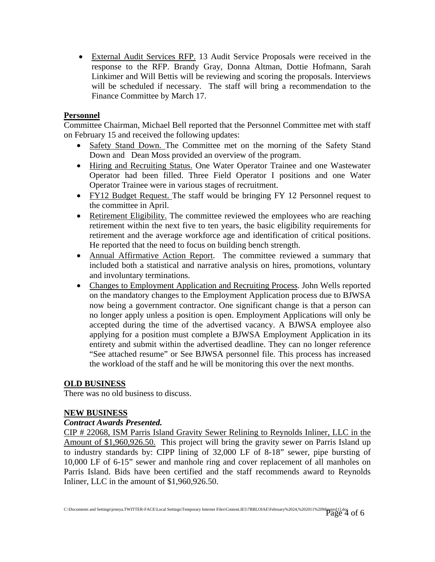• External Audit Services RFP. 13 Audit Service Proposals were received in the response to the RFP. Brandy Gray, Donna Altman, Dottie Hofmann, Sarah Linkimer and Will Bettis will be reviewing and scoring the proposals. Interviews will be scheduled if necessary. The staff will bring a recommendation to the Finance Committee by March 17.

### **Personnel**

Committee Chairman, Michael Bell reported that the Personnel Committee met with staff on February 15 and received the following updates:

- Safety Stand Down. The Committee met on the morning of the Safety Stand Down and Dean Moss provided an overview of the program.
- Hiring and Recruiting Status. One Water Operator Trainee and one Wastewater Operator had been filled. Three Field Operator I positions and one Water Operator Trainee were in various stages of recruitment.
- FY12 Budget Request. The staff would be bringing FY 12 Personnel request to the committee in April.
- Retirement Eligibility. The committee reviewed the employees who are reaching retirement within the next five to ten years, the basic eligibility requirements for retirement and the average workforce age and identification of critical positions. He reported that the need to focus on building bench strength.
- Annual Affirmative Action Report. The committee reviewed a summary that included both a statistical and narrative analysis on hires, promotions, voluntary and involuntary terminations.
- Changes to Employment Application and Recruiting Process. John Wells reported on the mandatory changes to the Employment Application process due to BJWSA now being a government contractor. One significant change is that a person can no longer apply unless a position is open. Employment Applications will only be accepted during the time of the advertised vacancy. A BJWSA employee also applying for a position must complete a BJWSA Employment Application in its entirety and submit within the advertised deadline. They can no longer reference "See attached resume" or See BJWSA personnel file. This process has increased the workload of the staff and he will be monitoring this over the next months.

### **OLD BUSINESS**

There was no old business to discuss.

### **NEW BUSINESS**

### *Contract Awards Presented.*

CIP # 22068, ISM Parris Island Gravity Sewer Relining to Reynolds Inliner, LLC in the Amount of \$1,960,926.50. This project will bring the gravity sewer on Parris Island up to industry standards by: CIPP lining of 32,000 LF of 8-18" sewer, pipe bursting of 10,000 LF of 6-15" sewer and manhole ring and cover replacement of all manholes on Parris Island. Bids have been certified and the staff recommends award to Reynolds Inliner, LLC in the amount of \$1,960,926.50.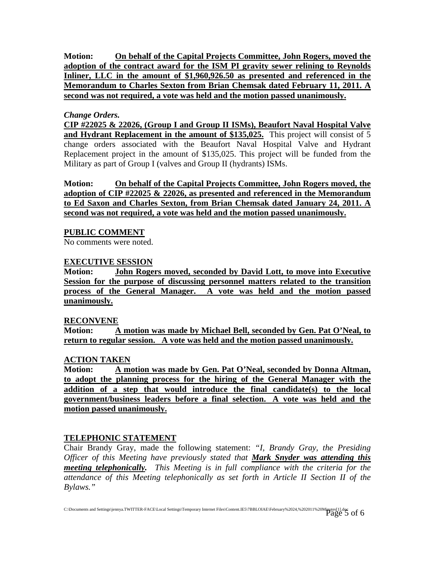**Motion: On behalf of the Capital Projects Committee, John Rogers, moved the adoption of the contract award for the ISM PI gravity sewer relining to Reynolds Inliner, LLC in the amount of \$1,960,926.50 as presented and referenced in the Memorandum to Charles Sexton from Brian Chemsak dated February 11, 2011. A second was not required, a vote was held and the motion passed unanimously.**

### *Change Orders.*

**CIP #22025 & 22026, (Group I and Group II ISMs), Beaufort Naval Hospital Valve and Hydrant Replacement in the amount of \$135,025.** This project will consist of 5 change orders associated with the Beaufort Naval Hospital Valve and Hydrant Replacement project in the amount of \$135,025. This project will be funded from the Military as part of Group I (valves and Group II (hydrants) ISMs.

**Motion: On behalf of the Capital Projects Committee, John Rogers moved, the adoption of CIP #22025 & 22026, as presented and referenced in the Memorandum to Ed Saxon and Charles Sexton, from Brian Chemsak dated January 24, 2011. A second was not required, a vote was held and the motion passed unanimously.**

### **PUBLIC COMMENT**

No comments were noted.

### **EXECUTIVE SESSION**

**Motion: John Rogers moved, seconded by David Lott, to move into Executive Session for the purpose of discussing personnel matters related to the transition process of the General Manager. A vote was held and the motion passed unanimously.**

### **RECONVENE**

**Motion: A motion was made by Michael Bell, seconded by Gen. Pat O'Neal, to return to regular session. A vote was held and the motion passed unanimously.**

### **ACTION TAKEN**

**Motion: A motion was made by Gen. Pat O'Neal, seconded by Donna Altman, to adopt the planning process for the hiring of the General Manager with the addition of a step that would introduce the final candidate(s) to the local government/business leaders before a final selection. A vote was held and the motion passed unanimously.**

## **TELEPHONIC STATEMENT**

Chair Brandy Gray, made the following statement: *"I, Brandy Gray, the Presiding Officer of this Meeting have previously stated that Mark Snyder was attending this meeting telephonically. This Meeting is in full compliance with the criteria for the attendance of this Meeting telephonically as set forth in Article II Section II of the Bylaws."*